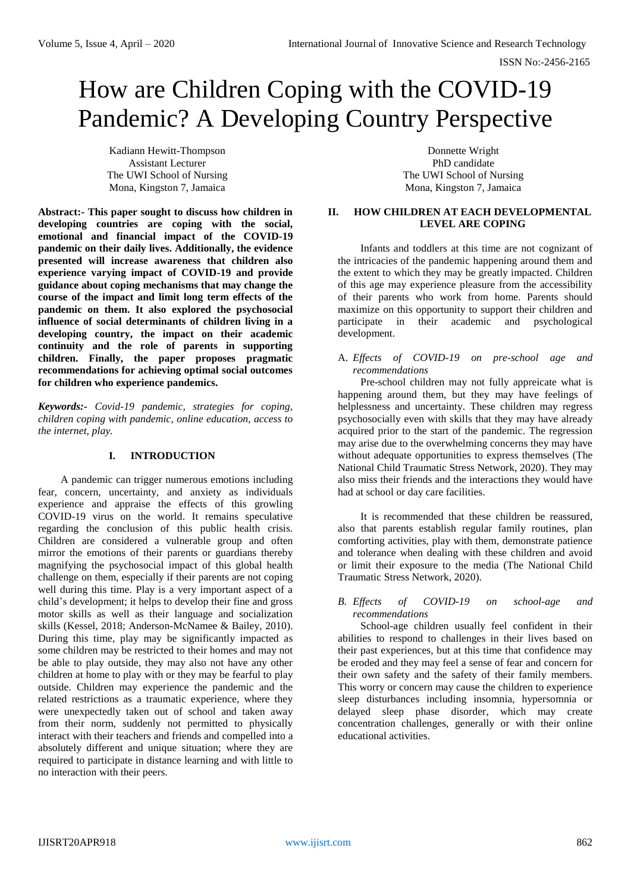# How are Children Coping with the COVID-19 Pandemic? A Developing Country Perspective

Kadiann Hewitt-Thompson Assistant Lecturer The UWI School of Nursing Mona, Kingston 7, Jamaica

**Abstract:- This paper sought to discuss how children in developing countries are coping with the social, emotional and financial impact of the COVID-19 pandemic on their daily lives. Additionally, the evidence presented will increase awareness that children also experience varying impact of COVID-19 and provide guidance about coping mechanisms that may change the course of the impact and limit long term effects of the pandemic on them. It also explored the psychosocial influence of social determinants of children living in a developing country, the impact on their academic continuity and the role of parents in supporting children. Finally, the paper proposes pragmatic recommendations for achieving optimal social outcomes for children who experience pandemics.**

*Keywords:- Covid-19 pandemic, strategies for coping, children coping with pandemic, online education, access to the internet, play.*

## **I. INTRODUCTION**

A pandemic can trigger numerous emotions including fear, concern, uncertainty, and anxiety as individuals experience and appraise the effects of this growling COVID-19 virus on the world. It remains speculative regarding the conclusion of this public health crisis. Children are considered a vulnerable group and often mirror the emotions of their parents or guardians thereby magnifying the psychosocial impact of this global health challenge on them, especially if their parents are not coping well during this time. Play is a very important aspect of a child's development; it helps to develop their fine and gross motor skills as well as their language and socialization skills (Kessel, 2018; Anderson-McNamee & Bailey, 2010). During this time, play may be significantly impacted as some children may be restricted to their homes and may not be able to play outside, they may also not have any other children at home to play with or they may be fearful to play outside. Children may experience the pandemic and the related restrictions as a traumatic experience, where they were unexpectedly taken out of school and taken away from their norm, suddenly not permitted to physically interact with their teachers and friends and compelled into a absolutely different and unique situation; where they are required to participate in distance learning and with little to no interaction with their peers.

Donnette Wright PhD candidate The UWI School of Nursing Mona, Kingston 7, Jamaica

### **II. HOW CHILDREN AT EACH DEVELOPMENTAL LEVEL ARE COPING**

Infants and toddlers at this time are not cognizant of the intricacies of the pandemic happening around them and the extent to which they may be greatly impacted. Children of this age may experience pleasure from the accessibility of their parents who work from home. Parents should maximize on this opportunity to support their children and participate in their academic and psychological development.

## A. *Effects of COVID-19 on pre-school age and recommendations*

Pre-school children may not fully appreicate what is happening around them, but they may have feelings of helplessness and uncertainty. These children may regress psychosocially even with skills that they may have already acquired prior to the start of the pandemic. The regression may arise due to the overwhelming concerns they may have without adequate opportunities to express themselves (The National Child Traumatic Stress Network, 2020). They may also miss their friends and the interactions they would have had at school or day care facilities.

It is recommended that these children be reassured, also that parents establish regular family routines, plan comforting activities, play with them, demonstrate patience and tolerance when dealing with these children and avoid or limit their exposure to the media (The National Child Traumatic Stress Network, 2020).

### *B. Effects of COVID-19 on school-age and recommendations*

School-age children usually feel confident in their abilities to respond to challenges in their lives based on their past experiences, but at this time that confidence may be eroded and they may feel a sense of fear and concern for their own safety and the safety of their family members. This worry or concern may cause the children to experience sleep disturbances including insomnia, hypersomnia or delayed sleep phase disorder, which may create concentration challenges, generally or with their online educational activities.